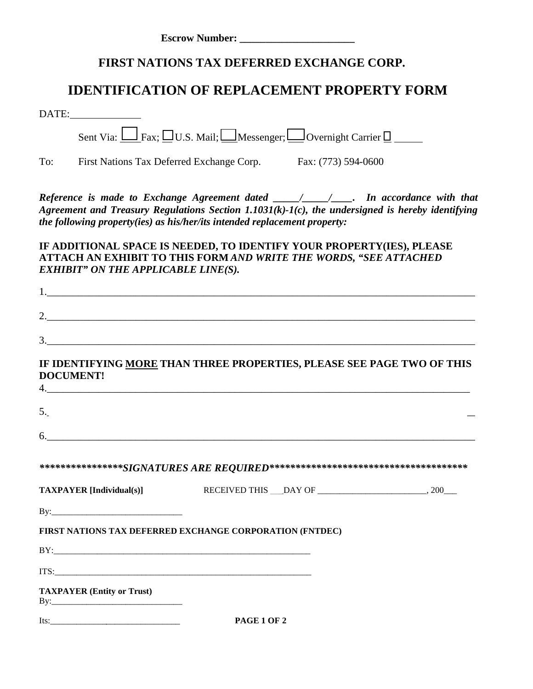| <b>Escrow Number:</b> |  |
|-----------------------|--|
|                       |  |

## **FIRST NATIONS TAX DEFERRED EXCHANGE CORP.**

## **IDENTIFICATION OF REPLACEMENT PROPERTY FORM**

| DATE:                                      |                                                                                                                                                                                                                                                                                                       |  |
|--------------------------------------------|-------------------------------------------------------------------------------------------------------------------------------------------------------------------------------------------------------------------------------------------------------------------------------------------------------|--|
|                                            | Sent Via: $\Box$ Fax; $\Box$ U.S. Mail; $\Box$ Messenger; $\Box$ Overnight Carrier $\Box$                                                                                                                                                                                                             |  |
|                                            | To: First Nations Tax Deferred Exchange Corp. Fax: (773) 594-0600                                                                                                                                                                                                                                     |  |
|                                            | Reference is made to Exchange Agreement dated $\frac{\ell}{\ell}$ / $\frac{\ell}{\ell}$ . In accordance with that<br>Agreement and Treasury Regulations Section $1.1031(k)-1(c)$ , the undersigned is hereby identifying<br>the following property(ies) as his/her/its intended replacement property: |  |
| <b>EXHIBIT" ON THE APPLICABLE LINE(S).</b> | IF ADDITIONAL SPACE IS NEEDED, TO IDENTIFY YOUR PROPERTY(IES), PLEASE<br>ATTACH AN EXHIBIT TO THIS FORM AND WRITE THE WORDS, "SEE ATTACHED                                                                                                                                                            |  |
|                                            | 1.                                                                                                                                                                                                                                                                                                    |  |
|                                            |                                                                                                                                                                                                                                                                                                       |  |
|                                            |                                                                                                                                                                                                                                                                                                       |  |
| <b>DOCUMENT!</b>                           | IF IDENTIFYING MORE THAN THREE PROPERTIES, PLEASE SEE PAGE TWO OF THIS<br>5.<br>6.                                                                                                                                                                                                                    |  |
|                                            |                                                                                                                                                                                                                                                                                                       |  |
| <b>TAXPAYER</b> [Individual(s)]            |                                                                                                                                                                                                                                                                                                       |  |
|                                            |                                                                                                                                                                                                                                                                                                       |  |
|                                            | FIRST NATIONS TAX DEFERRED EXCHANGE CORPORATION (FNTDEC)                                                                                                                                                                                                                                              |  |
|                                            |                                                                                                                                                                                                                                                                                                       |  |
|                                            | ITS: The contract of the contract of the contract of the contract of the contract of the contract of the contract of the contract of the contract of the contract of the contract of the contract of the contract of the contr                                                                        |  |
| <b>TAXPAYER (Entity or Trust)</b>          |                                                                                                                                                                                                                                                                                                       |  |
| $Its:\_$                                   | PAGE 1 OF 2                                                                                                                                                                                                                                                                                           |  |